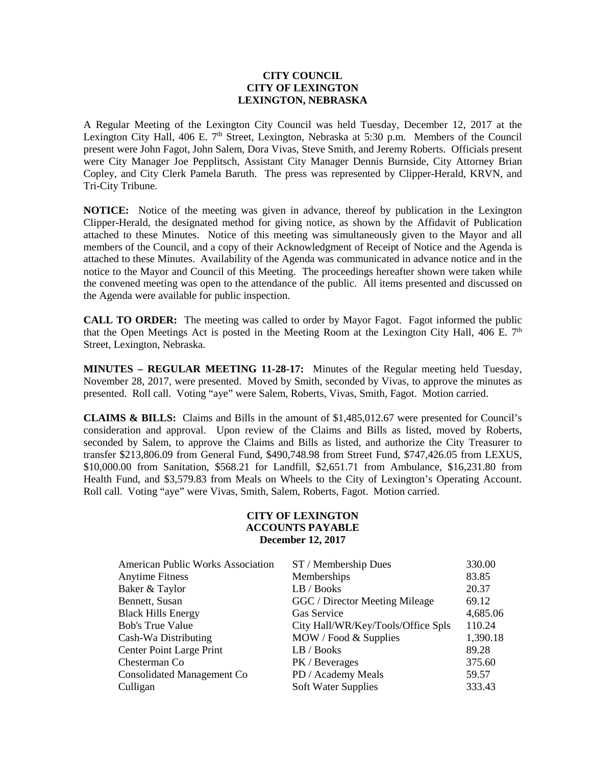## **CITY COUNCIL CITY OF LEXINGTON LEXINGTON, NEBRASKA**

A Regular Meeting of the Lexington City Council was held Tuesday, December 12, 2017 at the Lexington City Hall, 406 E.  $7<sup>th</sup>$  Street, Lexington, Nebraska at 5:30 p.m. Members of the Council present were John Fagot, John Salem, Dora Vivas, Steve Smith, and Jeremy Roberts. Officials present were City Manager Joe Pepplitsch, Assistant City Manager Dennis Burnside, City Attorney Brian Copley, and City Clerk Pamela Baruth. The press was represented by Clipper-Herald, KRVN, and Tri-City Tribune.

**NOTICE:** Notice of the meeting was given in advance, thereof by publication in the Lexington Clipper-Herald, the designated method for giving notice, as shown by the Affidavit of Publication attached to these Minutes. Notice of this meeting was simultaneously given to the Mayor and all members of the Council, and a copy of their Acknowledgment of Receipt of Notice and the Agenda is attached to these Minutes. Availability of the Agenda was communicated in advance notice and in the notice to the Mayor and Council of this Meeting. The proceedings hereafter shown were taken while the convened meeting was open to the attendance of the public. All items presented and discussed on the Agenda were available for public inspection.

**CALL TO ORDER:** The meeting was called to order by Mayor Fagot. Fagot informed the public that the Open Meetings Act is posted in the Meeting Room at the Lexington City Hall, 406 E.  $7<sup>th</sup>$ Street, Lexington, Nebraska.

**MINUTES – REGULAR MEETING 11-28-17:** Minutes of the Regular meeting held Tuesday, November 28, 2017, were presented. Moved by Smith, seconded by Vivas, to approve the minutes as presented. Roll call. Voting "aye" were Salem, Roberts, Vivas, Smith, Fagot. Motion carried.

**CLAIMS & BILLS:** Claims and Bills in the amount of \$1,485,012.67 were presented for Council's consideration and approval. Upon review of the Claims and Bills as listed, moved by Roberts, seconded by Salem, to approve the Claims and Bills as listed, and authorize the City Treasurer to transfer \$213,806.09 from General Fund, \$490,748.98 from Street Fund, \$747,426.05 from LEXUS, \$10,000.00 from Sanitation, \$568.21 for Landfill, \$2,651.71 from Ambulance, \$16,231.80 from Health Fund, and \$3,579.83 from Meals on Wheels to the City of Lexington's Operating Account. Roll call. Voting "aye" were Vivas, Smith, Salem, Roberts, Fagot. Motion carried.

## **CITY OF LEXINGTON ACCOUNTS PAYABLE December 12, 2017**

| <b>American Public Works Association</b> | ST / Membership Dues               | 330.00   |
|------------------------------------------|------------------------------------|----------|
| <b>Anytime Fitness</b>                   | Memberships                        | 83.85    |
| Baker & Taylor                           | LB / Books                         | 20.37    |
| Bennett, Susan                           | GGC / Director Meeting Mileage     | 69.12    |
| <b>Black Hills Energy</b>                | Gas Service                        | 4,685.06 |
| <b>Bob's True Value</b>                  | City Hall/WR/Key/Tools/Office Spls | 110.24   |
| Cash-Wa Distributing                     | MOW / Food & Supplies              | 1,390.18 |
| Center Point Large Print                 | LB / Books                         | 89.28    |
| Chesterman Co                            | PK / Beverages                     | 375.60   |
| Consolidated Management Co               | PD / Academy Meals                 | 59.57    |
| Culligan                                 | <b>Soft Water Supplies</b>         | 333.43   |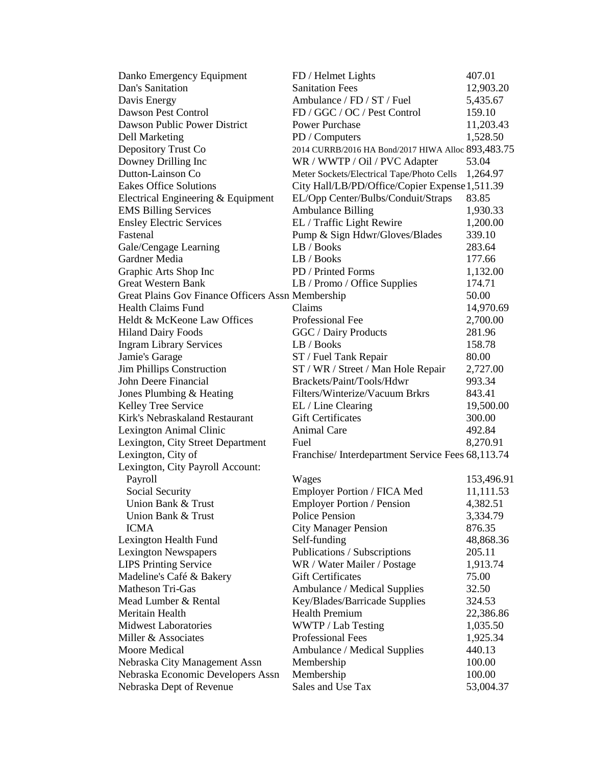| FD / Helmet Lights                                 | 407.01                                                                                                                                                                                                                                                                                                                                                                                                                                                                                                                                                                                                                                                                            |
|----------------------------------------------------|-----------------------------------------------------------------------------------------------------------------------------------------------------------------------------------------------------------------------------------------------------------------------------------------------------------------------------------------------------------------------------------------------------------------------------------------------------------------------------------------------------------------------------------------------------------------------------------------------------------------------------------------------------------------------------------|
| <b>Sanitation Fees</b>                             | 12,903.20                                                                                                                                                                                                                                                                                                                                                                                                                                                                                                                                                                                                                                                                         |
| Ambulance / FD / ST / Fuel                         | 5,435.67                                                                                                                                                                                                                                                                                                                                                                                                                                                                                                                                                                                                                                                                          |
| FD / GGC / OC / Pest Control                       | 159.10                                                                                                                                                                                                                                                                                                                                                                                                                                                                                                                                                                                                                                                                            |
| <b>Power Purchase</b>                              | 11,203.43                                                                                                                                                                                                                                                                                                                                                                                                                                                                                                                                                                                                                                                                         |
| PD / Computers                                     | 1,528.50                                                                                                                                                                                                                                                                                                                                                                                                                                                                                                                                                                                                                                                                          |
| 2014 CURRB/2016 HA Bond/2017 HIWA Alloc 893,483.75 |                                                                                                                                                                                                                                                                                                                                                                                                                                                                                                                                                                                                                                                                                   |
| WR / WWTP / Oil / PVC Adapter                      | 53.04                                                                                                                                                                                                                                                                                                                                                                                                                                                                                                                                                                                                                                                                             |
| Meter Sockets/Electrical Tape/Photo Cells          | 1,264.97                                                                                                                                                                                                                                                                                                                                                                                                                                                                                                                                                                                                                                                                          |
| City Hall/LB/PD/Office/Copier Expense 1,511.39     |                                                                                                                                                                                                                                                                                                                                                                                                                                                                                                                                                                                                                                                                                   |
| EL/Opp Center/Bulbs/Conduit/Straps                 | 83.85                                                                                                                                                                                                                                                                                                                                                                                                                                                                                                                                                                                                                                                                             |
| <b>Ambulance Billing</b>                           | 1,930.33                                                                                                                                                                                                                                                                                                                                                                                                                                                                                                                                                                                                                                                                          |
| EL / Traffic Light Rewire                          | 1,200.00                                                                                                                                                                                                                                                                                                                                                                                                                                                                                                                                                                                                                                                                          |
|                                                    | 339.10                                                                                                                                                                                                                                                                                                                                                                                                                                                                                                                                                                                                                                                                            |
| LB / Books                                         | 283.64                                                                                                                                                                                                                                                                                                                                                                                                                                                                                                                                                                                                                                                                            |
| LB / Books                                         | 177.66                                                                                                                                                                                                                                                                                                                                                                                                                                                                                                                                                                                                                                                                            |
| PD / Printed Forms                                 | 1,132.00                                                                                                                                                                                                                                                                                                                                                                                                                                                                                                                                                                                                                                                                          |
|                                                    | 174.71                                                                                                                                                                                                                                                                                                                                                                                                                                                                                                                                                                                                                                                                            |
|                                                    | 50.00                                                                                                                                                                                                                                                                                                                                                                                                                                                                                                                                                                                                                                                                             |
| Claims                                             | 14,970.69                                                                                                                                                                                                                                                                                                                                                                                                                                                                                                                                                                                                                                                                         |
| Professional Fee                                   | 2,700.00                                                                                                                                                                                                                                                                                                                                                                                                                                                                                                                                                                                                                                                                          |
|                                                    | 281.96                                                                                                                                                                                                                                                                                                                                                                                                                                                                                                                                                                                                                                                                            |
| LB / Books                                         | 158.78                                                                                                                                                                                                                                                                                                                                                                                                                                                                                                                                                                                                                                                                            |
|                                                    | 80.00                                                                                                                                                                                                                                                                                                                                                                                                                                                                                                                                                                                                                                                                             |
| ST / WR / Street / Man Hole Repair                 | 2,727.00                                                                                                                                                                                                                                                                                                                                                                                                                                                                                                                                                                                                                                                                          |
| Brackets/Paint/Tools/Hdwr                          | 993.34                                                                                                                                                                                                                                                                                                                                                                                                                                                                                                                                                                                                                                                                            |
| Filters/Winterize/Vacuum Brkrs                     | 843.41                                                                                                                                                                                                                                                                                                                                                                                                                                                                                                                                                                                                                                                                            |
|                                                    | 19,500.00                                                                                                                                                                                                                                                                                                                                                                                                                                                                                                                                                                                                                                                                         |
| <b>Gift Certificates</b>                           | 300.00                                                                                                                                                                                                                                                                                                                                                                                                                                                                                                                                                                                                                                                                            |
| <b>Animal Care</b>                                 | 492.84                                                                                                                                                                                                                                                                                                                                                                                                                                                                                                                                                                                                                                                                            |
| Fuel                                               | 8,270.91                                                                                                                                                                                                                                                                                                                                                                                                                                                                                                                                                                                                                                                                          |
|                                                    |                                                                                                                                                                                                                                                                                                                                                                                                                                                                                                                                                                                                                                                                                   |
|                                                    |                                                                                                                                                                                                                                                                                                                                                                                                                                                                                                                                                                                                                                                                                   |
|                                                    | 153,496.91                                                                                                                                                                                                                                                                                                                                                                                                                                                                                                                                                                                                                                                                        |
|                                                    | 11,111.53                                                                                                                                                                                                                                                                                                                                                                                                                                                                                                                                                                                                                                                                         |
|                                                    | 4,382.51                                                                                                                                                                                                                                                                                                                                                                                                                                                                                                                                                                                                                                                                          |
|                                                    | 3,334.79                                                                                                                                                                                                                                                                                                                                                                                                                                                                                                                                                                                                                                                                          |
|                                                    | 876.35                                                                                                                                                                                                                                                                                                                                                                                                                                                                                                                                                                                                                                                                            |
|                                                    | 48,868.36                                                                                                                                                                                                                                                                                                                                                                                                                                                                                                                                                                                                                                                                         |
|                                                    | 205.11                                                                                                                                                                                                                                                                                                                                                                                                                                                                                                                                                                                                                                                                            |
|                                                    | 1,913.74                                                                                                                                                                                                                                                                                                                                                                                                                                                                                                                                                                                                                                                                          |
|                                                    | 75.00                                                                                                                                                                                                                                                                                                                                                                                                                                                                                                                                                                                                                                                                             |
|                                                    | 32.50                                                                                                                                                                                                                                                                                                                                                                                                                                                                                                                                                                                                                                                                             |
|                                                    | 324.53                                                                                                                                                                                                                                                                                                                                                                                                                                                                                                                                                                                                                                                                            |
|                                                    | 22,386.86                                                                                                                                                                                                                                                                                                                                                                                                                                                                                                                                                                                                                                                                         |
|                                                    | 1,035.50                                                                                                                                                                                                                                                                                                                                                                                                                                                                                                                                                                                                                                                                          |
|                                                    | 1,925.34                                                                                                                                                                                                                                                                                                                                                                                                                                                                                                                                                                                                                                                                          |
|                                                    | 440.13                                                                                                                                                                                                                                                                                                                                                                                                                                                                                                                                                                                                                                                                            |
|                                                    | 100.00                                                                                                                                                                                                                                                                                                                                                                                                                                                                                                                                                                                                                                                                            |
|                                                    | 100.00                                                                                                                                                                                                                                                                                                                                                                                                                                                                                                                                                                                                                                                                            |
| Sales and Use Tax                                  | 53,004.37                                                                                                                                                                                                                                                                                                                                                                                                                                                                                                                                                                                                                                                                         |
|                                                    | Pump & Sign Hdwr/Gloves/Blades<br>LB / Promo / Office Supplies<br>Great Plains Gov Finance Officers Assn Membership<br>GGC / Dairy Products<br>ST / Fuel Tank Repair<br>EL / Line Clearing<br>Franchise/Interdepartment Service Fees 68,113.74<br>Wages<br>Employer Portion / FICA Med<br>Employer Portion / Pension<br>Police Pension<br><b>City Manager Pension</b><br>Self-funding<br>Publications / Subscriptions<br>WR / Water Mailer / Postage<br><b>Gift Certificates</b><br>Ambulance / Medical Supplies<br>Key/Blades/Barricade Supplies<br><b>Health Premium</b><br>WWTP / Lab Testing<br>Professional Fees<br>Ambulance / Medical Supplies<br>Membership<br>Membership |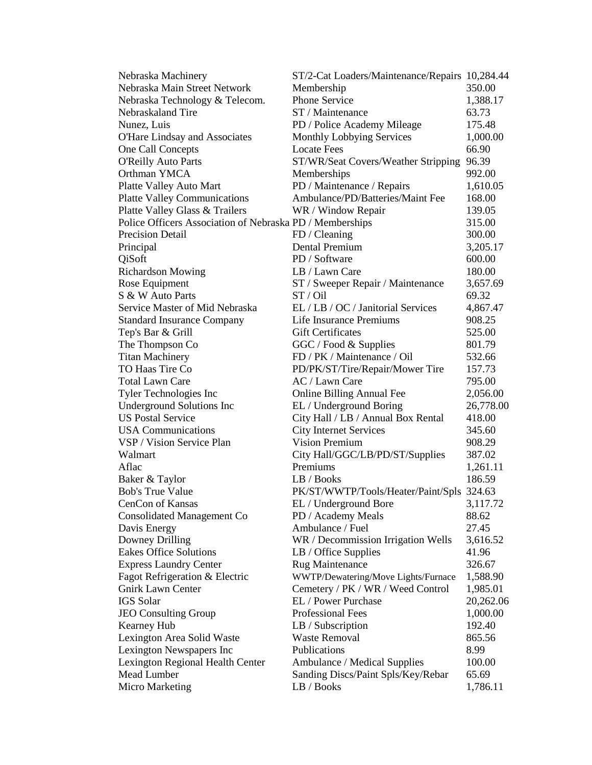| Nebraska Machinery                                       | ST/2-Cat Loaders/Maintenance/Repairs 10,284.44 |                  |
|----------------------------------------------------------|------------------------------------------------|------------------|
| Nebraska Main Street Network                             | Membership                                     | 350.00           |
| Nebraska Technology & Telecom.                           | <b>Phone Service</b>                           | 1,388.17         |
| Nebraskaland Tire                                        | ST / Maintenance                               | 63.73            |
| Nunez, Luis                                              | PD / Police Academy Mileage                    | 175.48           |
| O'Hare Lindsay and Associates                            | Monthly Lobbying Services                      | 1,000.00         |
| One Call Concepts                                        | <b>Locate Fees</b>                             | 66.90            |
| <b>O'Reilly Auto Parts</b>                               | ST/WR/Seat Covers/Weather Stripping            | 96.39            |
| Orthman YMCA                                             | Memberships                                    | 992.00           |
| Platte Valley Auto Mart                                  | PD / Maintenance / Repairs                     | 1,610.05         |
| <b>Platte Valley Communications</b>                      | Ambulance/PD/Batteries/Maint Fee               | 168.00           |
| Platte Valley Glass & Trailers                           | WR / Window Repair                             | 139.05           |
| Police Officers Association of Nebraska PD / Memberships |                                                | 315.00           |
| <b>Precision Detail</b>                                  | FD / Cleaning                                  | 300.00           |
| Principal                                                | Dental Premium                                 | 3,205.17         |
| QiSoft                                                   | PD / Software                                  | 600.00           |
| <b>Richardson Mowing</b>                                 | LB / Lawn Care                                 | 180.00           |
| Rose Equipment                                           | ST / Sweeper Repair / Maintenance              | 3,657.69         |
| S & W Auto Parts                                         | ST / Oil                                       | 69.32            |
| Service Master of Mid Nebraska                           | EL / LB / OC / Janitorial Services             | 4,867.47         |
|                                                          | Life Insurance Premiums                        | 908.25           |
| <b>Standard Insurance Company</b>                        | <b>Gift Certificates</b>                       |                  |
| Tep's Bar & Grill                                        |                                                | 525.00<br>801.79 |
| The Thompson Co                                          | GGC / Food & Supplies                          |                  |
| <b>Titan Machinery</b>                                   | FD / PK / Maintenance / Oil                    | 532.66           |
| TO Haas Tire Co                                          | PD/PK/ST/Tire/Repair/Mower Tire                | 157.73           |
| <b>Total Lawn Care</b>                                   | AC / Lawn Care                                 | 795.00           |
| Tyler Technologies Inc                                   | <b>Online Billing Annual Fee</b>               | 2,056.00         |
| <b>Underground Solutions Inc</b>                         | EL / Underground Boring                        | 26,778.00        |
| <b>US Postal Service</b>                                 | City Hall / LB / Annual Box Rental             | 418.00           |
| <b>USA</b> Communications                                | <b>City Internet Services</b>                  | 345.60           |
| VSP / Vision Service Plan                                | <b>Vision Premium</b>                          | 908.29           |
| Walmart                                                  | City Hall/GGC/LB/PD/ST/Supplies                | 387.02           |
| Aflac                                                    | Premiums                                       | 1,261.11         |
| Baker & Taylor                                           | LB / Books                                     | 186.59           |
| <b>Bob's True Value</b>                                  | PK/ST/WWTP/Tools/Heater/Paint/Spls 324.63      |                  |
| CenCon of Kansas                                         | EL / Underground Bore                          | 3,117.72         |
| Consolidated Management Co                               | PD / Academy Meals                             | 88.62            |
| Davis Energy                                             | Ambulance / Fuel                               | 27.45            |
| Downey Drilling                                          | WR / Decommission Irrigation Wells             | 3,616.52         |
| Eakes Office Solutions                                   | LB / Office Supplies                           | 41.96            |
| <b>Express Laundry Center</b>                            | <b>Rug Maintenance</b>                         | 326.67           |
| Fagot Refrigeration & Electric                           | WWTP/Dewatering/Move Lights/Furnace            | 1,588.90         |
| <b>Gnirk Lawn Center</b>                                 | Cemetery / PK / WR / Weed Control              | 1,985.01         |
| <b>IGS</b> Solar                                         | EL / Power Purchase                            | 20,262.06        |
| <b>JEO Consulting Group</b>                              | <b>Professional Fees</b>                       | 1,000.00         |
| Kearney Hub                                              | LB / Subscription                              | 192.40           |
| Lexington Area Solid Waste                               | <b>Waste Removal</b>                           | 865.56           |
| Lexington Newspapers Inc                                 | Publications                                   | 8.99             |
| Lexington Regional Health Center                         | Ambulance / Medical Supplies                   | 100.00           |
| Mead Lumber                                              | Sanding Discs/Paint Spls/Key/Rebar             | 65.69            |
| Micro Marketing                                          | LB / Books                                     | 1,786.11         |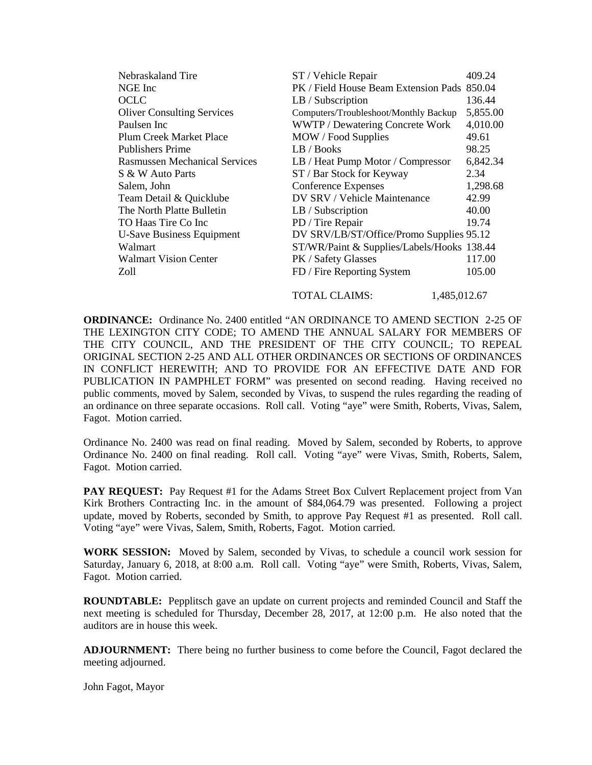| Nebraskaland Tire                    | ST / Vehicle Repair                         | 409.24   |
|--------------------------------------|---------------------------------------------|----------|
| NGE Inc                              | PK / Field House Beam Extension Pads 850.04 |          |
| <b>OCLC</b>                          | LB / Subscription                           | 136.44   |
| <b>Oliver Consulting Services</b>    | Computers/Troubleshoot/Monthly Backup       | 5,855.00 |
| Paulsen Inc                          | WWTP / Dewatering Concrete Work             | 4,010.00 |
| Plum Creek Market Place              | MOW / Food Supplies                         | 49.61    |
| <b>Publishers Prime</b>              | LB / Books                                  | 98.25    |
| <b>Rasmussen Mechanical Services</b> | LB / Heat Pump Motor / Compressor           | 6,842.34 |
| S & W Auto Parts                     | ST / Bar Stock for Keyway                   | 2.34     |
| Salem, John                          | Conference Expenses                         | 1,298.68 |
| Team Detail & Quicklube              | DV SRV / Vehicle Maintenance                | 42.99    |
| The North Platte Bulletin            | LB / Subscription                           | 40.00    |
| TO Haas Tire Co Inc                  | PD / Tire Repair                            | 19.74    |
| <b>U-Save Business Equipment</b>     | DV SRV/LB/ST/Office/Promo Supplies 95.12    |          |
| Walmart                              | ST/WR/Paint & Supplies/Labels/Hooks 138.44  |          |
| <b>Walmart Vision Center</b>         | PK / Safety Glasses                         | 117.00   |
| Zoll                                 | FD / Fire Reporting System                  | 105.00   |
|                                      |                                             |          |

TOTAL CLAIMS: 1,485,012.67

**ORDINANCE:** Ordinance No. 2400 entitled "AN ORDINANCE TO AMEND SECTION 2-25 OF THE LEXINGTON CITY CODE; TO AMEND THE ANNUAL SALARY FOR MEMBERS OF THE CITY COUNCIL, AND THE PRESIDENT OF THE CITY COUNCIL; TO REPEAL ORIGINAL SECTION 2-25 AND ALL OTHER ORDINANCES OR SECTIONS OF ORDINANCES IN CONFLICT HEREWITH; AND TO PROVIDE FOR AN EFFECTIVE DATE AND FOR PUBLICATION IN PAMPHLET FORM" was presented on second reading. Having received no public comments, moved by Salem, seconded by Vivas, to suspend the rules regarding the reading of an ordinance on three separate occasions. Roll call. Voting "aye" were Smith, Roberts, Vivas, Salem, Fagot. Motion carried.

Ordinance No. 2400 was read on final reading. Moved by Salem, seconded by Roberts, to approve Ordinance No. 2400 on final reading. Roll call. Voting "aye" were Vivas, Smith, Roberts, Salem, Fagot. Motion carried.

**PAY REQUEST:** Pay Request #1 for the Adams Street Box Culvert Replacement project from Van Kirk Brothers Contracting Inc. in the amount of \$84,064.79 was presented. Following a project update, moved by Roberts, seconded by Smith, to approve Pay Request #1 as presented. Roll call. Voting "aye" were Vivas, Salem, Smith, Roberts, Fagot. Motion carried.

**WORK SESSION:** Moved by Salem, seconded by Vivas, to schedule a council work session for Saturday, January 6, 2018, at 8:00 a.m. Roll call. Voting "aye" were Smith, Roberts, Vivas, Salem, Fagot. Motion carried.

**ROUNDTABLE:** Pepplitsch gave an update on current projects and reminded Council and Staff the next meeting is scheduled for Thursday, December 28, 2017, at 12:00 p.m. He also noted that the auditors are in house this week.

**ADJOURNMENT:** There being no further business to come before the Council, Fagot declared the meeting adjourned.

John Fagot, Mayor